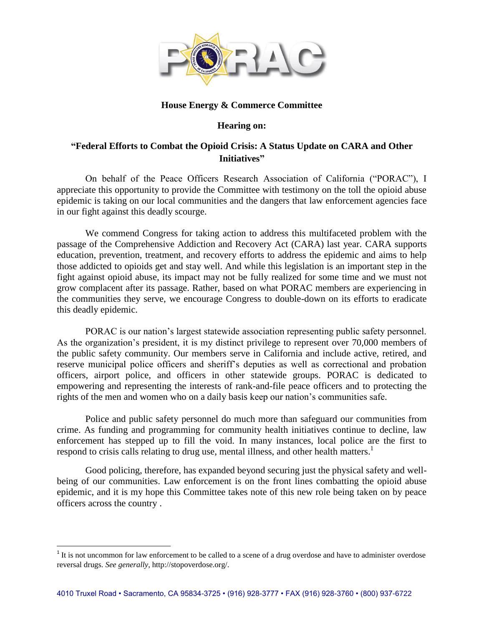

## **House Energy & Commerce Committee**

### **Hearing on:**

# **"Federal Efforts to Combat the Opioid Crisis: A Status Update on CARA and Other Initiatives"**

On behalf of the Peace Officers Research Association of California ("PORAC"), I appreciate this opportunity to provide the Committee with testimony on the toll the opioid abuse epidemic is taking on our local communities and the dangers that law enforcement agencies face in our fight against this deadly scourge.

We commend Congress for taking action to address this multifaceted problem with the passage of the Comprehensive Addiction and Recovery Act (CARA) last year. CARA supports education, prevention, treatment, and recovery efforts to address the epidemic and aims to help those addicted to opioids get and stay well. And while this legislation is an important step in the fight against opioid abuse, its impact may not be fully realized for some time and we must not grow complacent after its passage. Rather, based on what PORAC members are experiencing in the communities they serve, we encourage Congress to double-down on its efforts to eradicate this deadly epidemic.

PORAC is our nation's largest statewide association representing public safety personnel. As the organization's president, it is my distinct privilege to represent over 70,000 members of the public safety community. Our members serve in California and include active, retired, and reserve municipal police officers and sheriff's deputies as well as correctional and probation officers, airport police, and officers in other statewide groups. PORAC is dedicated to empowering and representing the interests of rank-and-file peace officers and to protecting the rights of the men and women who on a daily basis keep our nation's communities safe.

Police and public safety personnel do much more than safeguard our communities from crime. As funding and programming for community health initiatives continue to decline, law enforcement has stepped up to fill the void. In many instances, local police are the first to respond to crisis calls relating to drug use, mental illness, and other health matters.<sup>1</sup>

Good policing, therefore, has expanded beyond securing just the physical safety and wellbeing of our communities. Law enforcement is on the front lines combatting the opioid abuse epidemic, and it is my hope this Committee takes note of this new role being taken on by peace officers across the country .

l

 $1$ <sup>1</sup> It is not uncommon for law enforcement to be called to a scene of a drug overdose and have to administer overdose reversal drugs. *See generally*, http://stopoverdose.org/.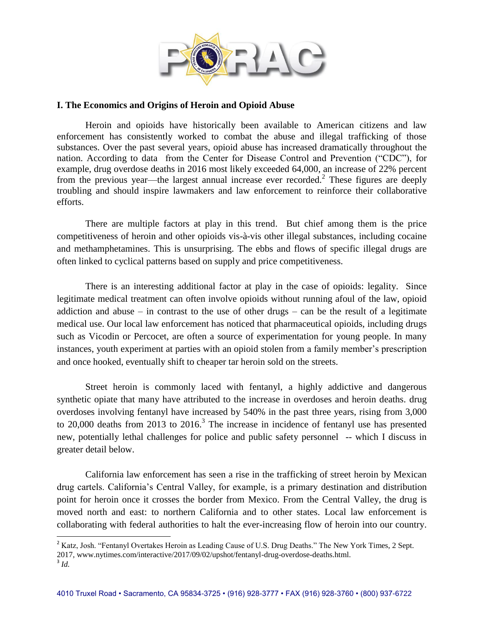

## **I. The Economics and Origins of Heroin and Opioid Abuse**

Heroin and opioids have historically been available to American citizens and law enforcement has consistently worked to combat the abuse and illegal trafficking of those substances. Over the past several years, opioid abuse has increased dramatically throughout the nation. According to data from the Center for Disease Control and Prevention ("CDC"), for example, drug overdose deaths in 2016 most likely exceeded 64,000, an increase of 22% percent from the previous year—the largest annual increase ever recorded.<sup>2</sup> These figures are deeply troubling and should inspire lawmakers and law enforcement to reinforce their collaborative efforts.

There are multiple factors at play in this trend. But chief among them is the price competitiveness of heroin and other opioids vis-à-vis other illegal substances, including cocaine and methamphetamines. This is unsurprising. The ebbs and flows of specific illegal drugs are often linked to cyclical patterns based on supply and price competitiveness.

There is an interesting additional factor at play in the case of opioids: legality. Since legitimate medical treatment can often involve opioids without running afoul of the law, opioid addiction and abuse – in contrast to the use of other drugs – can be the result of a legitimate medical use. Our local law enforcement has noticed that pharmaceutical opioids, including drugs such as Vicodin or Percocet, are often a source of experimentation for young people. In many instances, youth experiment at parties with an opioid stolen from a family member's prescription and once hooked, eventually shift to cheaper tar heroin sold on the streets.

Street heroin is commonly laced with fentanyl, a highly addictive and dangerous synthetic opiate that many have attributed to the increase in overdoses and heroin deaths. drug overdoses involving fentanyl have increased by 540% in the past three years, rising from 3,000 to  $20,000$  deaths from  $2013$  to  $2016<sup>3</sup>$ . The increase in incidence of fentanyl use has presented new, potentially lethal challenges for police and public safety personnel -- which I discuss in greater detail below.

California law enforcement has seen a rise in the trafficking of street heroin by Mexican drug cartels. California's Central Valley, for example, is a primary destination and distribution point for heroin once it crosses the border from Mexico. From the Central Valley, the drug is moved north and east: to northern California and to other states. Local law enforcement is collaborating with federal authorities to halt the ever-increasing flow of heroin into our country.

 $\overline{\phantom{a}}$ <sup>2</sup> Katz, Josh. "Fentanyl Overtakes Heroin as Leading Cause of U.S. Drug Deaths." The New York Times, 2 Sept.

<sup>2017,</sup> www.nytimes.com/interactive/2017/09/02/upshot/fentanyl-drug-overdose-deaths.html.

<sup>3</sup> *Id.*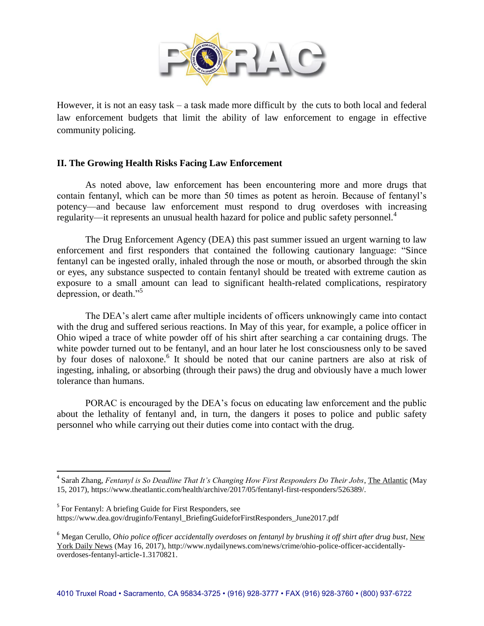

However, it is not an easy task – a task made more difficult by the cuts to both local and federal law enforcement budgets that limit the ability of law enforcement to engage in effective community policing.

## **II. The Growing Health Risks Facing Law Enforcement**

As noted above, law enforcement has been encountering more and more drugs that contain fentanyl, which can be more than 50 times as potent as heroin. Because of fentanyl's potency—and because law enforcement must respond to drug overdoses with increasing regularity—it represents an unusual health hazard for police and public safety personnel.<sup>4</sup>

The Drug Enforcement Agency (DEA) this past summer issued an urgent warning to law enforcement and first responders that contained the following cautionary language: "Since fentanyl can be ingested orally, inhaled through the nose or mouth, or absorbed through the skin or eyes, any substance suspected to contain fentanyl should be treated with extreme caution as exposure to a small amount can lead to significant health-related complications, respiratory depression, or death."<sup>5</sup>

The DEA's alert came after multiple incidents of officers unknowingly came into contact with the drug and suffered serious reactions. In May of this year, for example, a police officer in Ohio wiped a trace of white powder off of his shirt after searching a car containing drugs. The white powder turned out to be fentanyl, and an hour later he lost consciousness only to be saved by four doses of naloxone.<sup>6</sup> It should be noted that our canine partners are also at risk of ingesting, inhaling, or absorbing (through their paws) the drug and obviously have a much lower tolerance than humans.

PORAC is encouraged by the DEA's focus on educating law enforcement and the public about the lethality of fentanyl and, in turn, the dangers it poses to police and public safety personnel who while carrying out their duties come into contact with the drug.

 $\overline{a}$ 

<sup>4</sup> Sarah Zhang, *Fentanyl is So Deadline That It's Changing How First Responders Do Their Jobs*, The Atlantic (May 15, 2017), https://www.theatlantic.com/health/archive/2017/05/fentanyl-first-responders/526389/.

<sup>&</sup>lt;sup>5</sup> For Fentanyl: A briefing Guide for First Responders, see https://www.dea.gov/druginfo/Fentanyl\_BriefingGuideforFirstResponders\_June2017.pdf

<sup>6</sup> Megan Cerullo, *Ohio police officer accidentally overdoses on fentanyl by brushing it off shirt after drug bust*, New York Daily News (May 16, 2017), http://www.nydailynews.com/news/crime/ohio-police-officer-accidentallyoverdoses-fentanyl-article-1.3170821.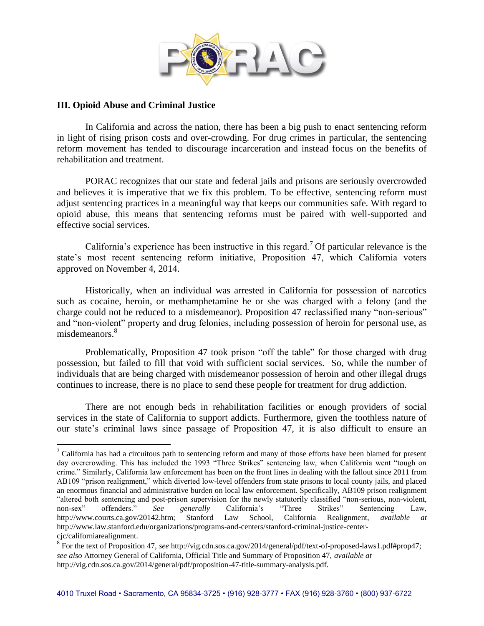

#### **III. Opioid Abuse and Criminal Justice**

 $\overline{\phantom{a}}$ 

In California and across the nation, there has been a big push to enact sentencing reform in light of rising prison costs and over-crowding. For drug crimes in particular, the sentencing reform movement has tended to discourage incarceration and instead focus on the benefits of rehabilitation and treatment.

PORAC recognizes that our state and federal jails and prisons are seriously overcrowded and believes it is imperative that we fix this problem. To be effective, sentencing reform must adjust sentencing practices in a meaningful way that keeps our communities safe. With regard to opioid abuse, this means that sentencing reforms must be paired with well-supported and effective social services.

California's experience has been instructive in this regard.<sup>7</sup> Of particular relevance is the state's most recent sentencing reform initiative, Proposition 47, which California voters approved on November 4, 2014.

Historically, when an individual was arrested in California for possession of narcotics such as cocaine, heroin, or methamphetamine he or she was charged with a felony (and the charge could not be reduced to a misdemeanor). Proposition 47 reclassified many "non-serious" and "non-violent" property and drug felonies, including possession of heroin for personal use, as misdemeanors.<sup>8</sup>

Problematically, Proposition 47 took prison "off the table" for those charged with drug possession, but failed to fill that void with sufficient social services. So, while the number of individuals that are being charged with misdemeanor possession of heroin and other illegal drugs continues to increase, there is no place to send these people for treatment for drug addiction.

There are not enough beds in rehabilitation facilities or enough providers of social services in the state of California to support addicts. Furthermore, given the toothless nature of our state's criminal laws since passage of Proposition 47, it is also difficult to ensure an

<sup>&</sup>lt;sup>7</sup> California has had a circuitous path to sentencing reform and many of those efforts have been blamed for present day overcrowding. This has included the 1993 "Three Strikes" sentencing law, when California went "tough on crime." Similarly, California law enforcement has been on the front lines in dealing with the fallout since 2011 from AB109 "prison realignment," which diverted low-level offenders from state prisons to local county jails, and placed an enormous financial and administrative burden on local law enforcement. Specifically, AB109 prison realignment "altered both sentencing and post-prison supervision for the newly statutorily classified "non-serious, non-violent, non-sex" offenders." See generally California's "Three Strikes" Sentencing Law, non-sex" offenders." *See generally* California's "Three Strikes" Sentencing Law, http://www.courts.ca.gov/20142.htm; Stanford Law School, California Realignment, *available at*  http://www.law.stanford.edu/organizations/programs-and-centers/stanford-criminal-justice-centercjc/californiarealignment.

<sup>8</sup> For the text of Proposition 47, *see* http://vig.cdn.sos.ca.gov/2014/general/pdf/text-of-proposed-laws1.pdf#prop47; *see also* Attorney General of California, Official Title and Summary of Proposition 47, *available at* http://vig.cdn.sos.ca.gov/2014/general/pdf/proposition-47-title-summary-analysis.pdf.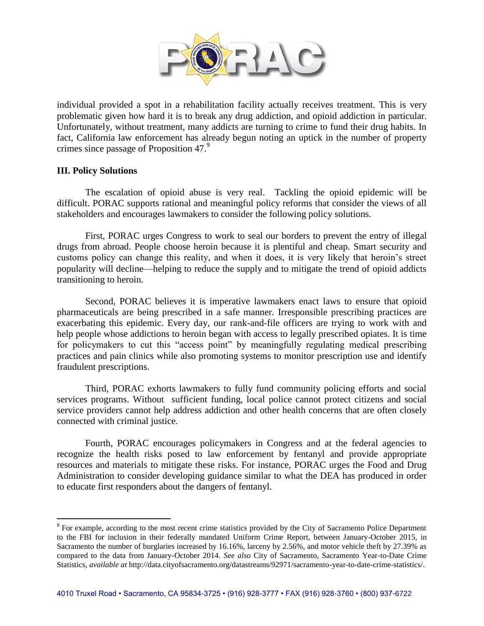

individual provided a spot in a rehabilitation facility actually receives treatment. This is very problematic given how hard it is to break any drug addiction, and opioid addiction in particular. Unfortunately, without treatment, many addicts are turning to crime to fund their drug habits. In fact, California law enforcement has already begun noting an uptick in the number of property crimes since passage of Proposition 47.<sup>9</sup>

## **III. Policy Solutions**

 $\overline{a}$ 

The escalation of opioid abuse is very real. Tackling the opioid epidemic will be difficult. PORAC supports rational and meaningful policy reforms that consider the views of all stakeholders and encourages lawmakers to consider the following policy solutions.

First, PORAC urges Congress to work to seal our borders to prevent the entry of illegal drugs from abroad. People choose heroin because it is plentiful and cheap. Smart security and customs policy can change this reality, and when it does, it is very likely that heroin's street popularity will decline—helping to reduce the supply and to mitigate the trend of opioid addicts transitioning to heroin.

Second, PORAC believes it is imperative lawmakers enact laws to ensure that opioid pharmaceuticals are being prescribed in a safe manner. Irresponsible prescribing practices are exacerbating this epidemic. Every day, our rank-and-file officers are trying to work with and help people whose addictions to heroin began with access to legally prescribed opiates. It is time for policymakers to cut this "access point" by meaningfully regulating medical prescribing practices and pain clinics while also promoting systems to monitor prescription use and identify fraudulent prescriptions.

Third, PORAC exhorts lawmakers to fully fund community policing efforts and social services programs. Without sufficient funding, local police cannot protect citizens and social service providers cannot help address addiction and other health concerns that are often closely connected with criminal justice.

Fourth, PORAC encourages policymakers in Congress and at the federal agencies to recognize the health risks posed to law enforcement by fentanyl and provide appropriate resources and materials to mitigate these risks. For instance, PORAC urges the Food and Drug Administration to consider developing guidance similar to what the DEA has produced in order to educate first responders about the dangers of fentanyl.

<sup>&</sup>lt;sup>9</sup> For example, according to the most recent crime statistics provided by the City of Sacramento Police Department to the FBI for inclusion in their federally mandated Uniform Crime Report, between January-October 2015, in Sacramento the number of burglaries increased by 16.16%, larceny by 2.56%, and motor vehicle theft by 27.39% as compared to the data from January-October 2014. *See also* City of Sacramento, Sacramento Year-to-Date Crime Statistics, *available at* http://data.cityofsacramento.org/datastreams/92971/sacramento-year-to-date-crime-statistics/.